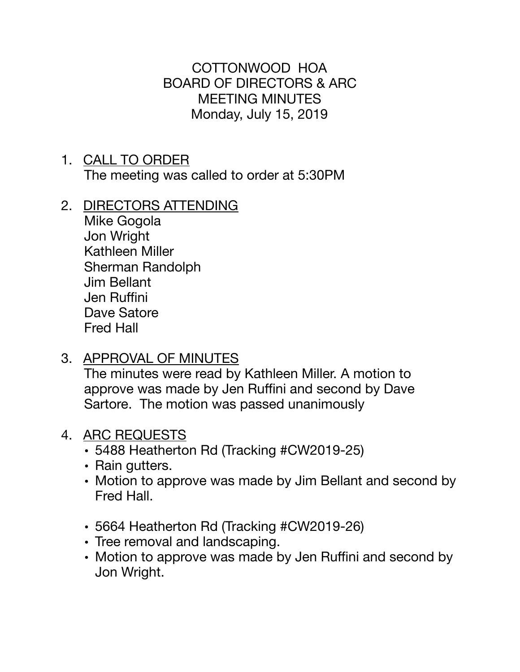COTTONWOOD HOA BOARD OF DIRECTORS & ARC MEETING MINUTES Monday, July 15, 2019

- 1. CALL TO ORDER The meeting was called to order at 5:30PM
- 2. DIRECTORS ATTENDING
	- Mike Gogola Jon Wright Kathleen Miller Sherman Randolph Jim Bellant Jen Ruffini Dave Satore Fred Hall
- 3. APPROVAL OF MINUTES

The minutes were read by Kathleen Miller. A motion to approve was made by Jen Ruffini and second by Dave Sartore. The motion was passed unanimously

- 4. ARC REQUESTS
	- 5488 Heatherton Rd (Tracking #CW2019-25)
	- Rain gutters.
	- Motion to approve was made by Jim Bellant and second by Fred Hall.
	- 5664 Heatherton Rd (Tracking #CW2019-26)
	- Tree removal and landscaping.
	- Motion to approve was made by Jen Ruffini and second by Jon Wright.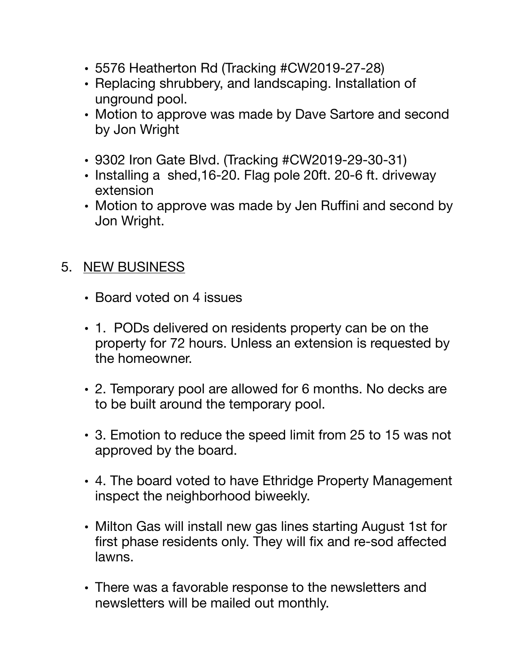- 5576 Heatherton Rd (Tracking #CW2019-27-28)
- Replacing shrubbery, and landscaping. Installation of unground pool.
- Motion to approve was made by Dave Sartore and second by Jon Wright
- 9302 Iron Gate Blvd. (Tracking #CW2019-29-30-31)
- Installing a shed,16-20. Flag pole 20ft. 20-6 ft. driveway extension
- Motion to approve was made by Jen Ruffini and second by Jon Wright.

## 5. NEW BUSINESS

- Board voted on 4 issues
- 1. PODs delivered on residents property can be on the property for 72 hours. Unless an extension is requested by the homeowner.
- 2. Temporary pool are allowed for 6 months. No decks are to be built around the temporary pool.
- 3. Emotion to reduce the speed limit from 25 to 15 was not approved by the board.
- 4. The board voted to have Ethridge Property Management inspect the neighborhood biweekly.
- Milton Gas will install new gas lines starting August 1st for first phase residents only. They will fix and re-sod affected lawns.
- There was a favorable response to the newsletters and newsletters will be mailed out monthly.